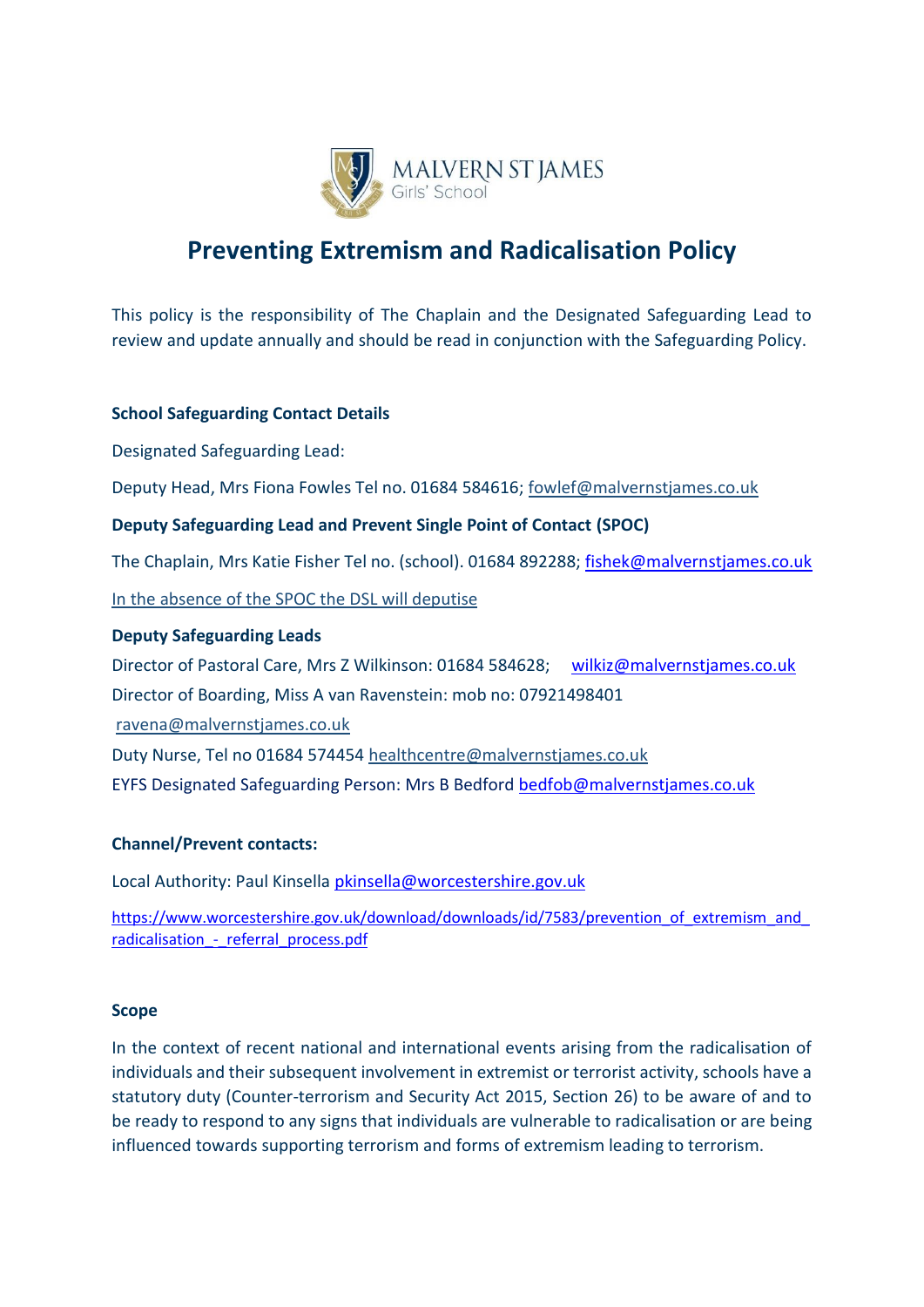

# **Preventing Extremism and Radicalisation Policy**

This policy is the responsibility of The Chaplain and the Designated Safeguarding Lead to review and update annually and should be read in conjunction with the Safeguarding Policy.

## **School Safeguarding Contact Details**

Designated Safeguarding Lead:

Deputy Head, Mrs Fiona Fowles Tel no. 01684 584616; fowlef@malvernstjames.co.uk

## **Deputy Safeguarding Lead and Prevent Single Point of Contact (SPOC)**

The Chaplain, Mrs Katie Fisher Tel no. (school). 01684 892288; [fishek@malvernstjames.co.uk](mailto:fishek@malvernstjames.co.uk)

In the absence of the SPOC the DSL will deputise

### **Deputy Safeguarding Leads**

Director of Pastoral Care, Mrs Z Wilkinson: 01684 584628; [wilkiz@malvernstjames.co.uk](mailto:wilkiz@malvernstjames.co.uk) Director of Boarding, Miss A van Ravenstein: mob no: 07921498401 [ravena@malvernstjames.co.uk](mailto:ravena@malvernstjames.co.uk) Duty Nurse, Tel no 01684 574454 [healthcentre@malvernstjames.co.uk](mailto:healthcentre@malvernstjames.co.uk)  EYFS Designated Safeguarding Person: Mrs B Bedford [bedfob@malvernstjames.co.uk](mailto:bedfob@malvernstjames.co.uk)

### **Channel/Prevent contacts:**

Local Authority: Paul Kinsella [pkinsella@worcestershire.gov.uk](mailto:pkinsella@worcestershire.gov.uk)

https://www.worcestershire.gov.uk/download/downloads/id/7583/prevention\_of\_extremism\_and radicalisation - referral process.pdf

#### **Scope**

In the context of recent national and international events arising from the radicalisation of individuals and their subsequent involvement in extremist or terrorist activity, schools have a statutory duty (Counter-terrorism and Security Act 2015, Section 26) to be aware of and to be ready to respond to any signs that individuals are vulnerable to radicalisation or are being influenced towards supporting terrorism and forms of extremism leading to terrorism.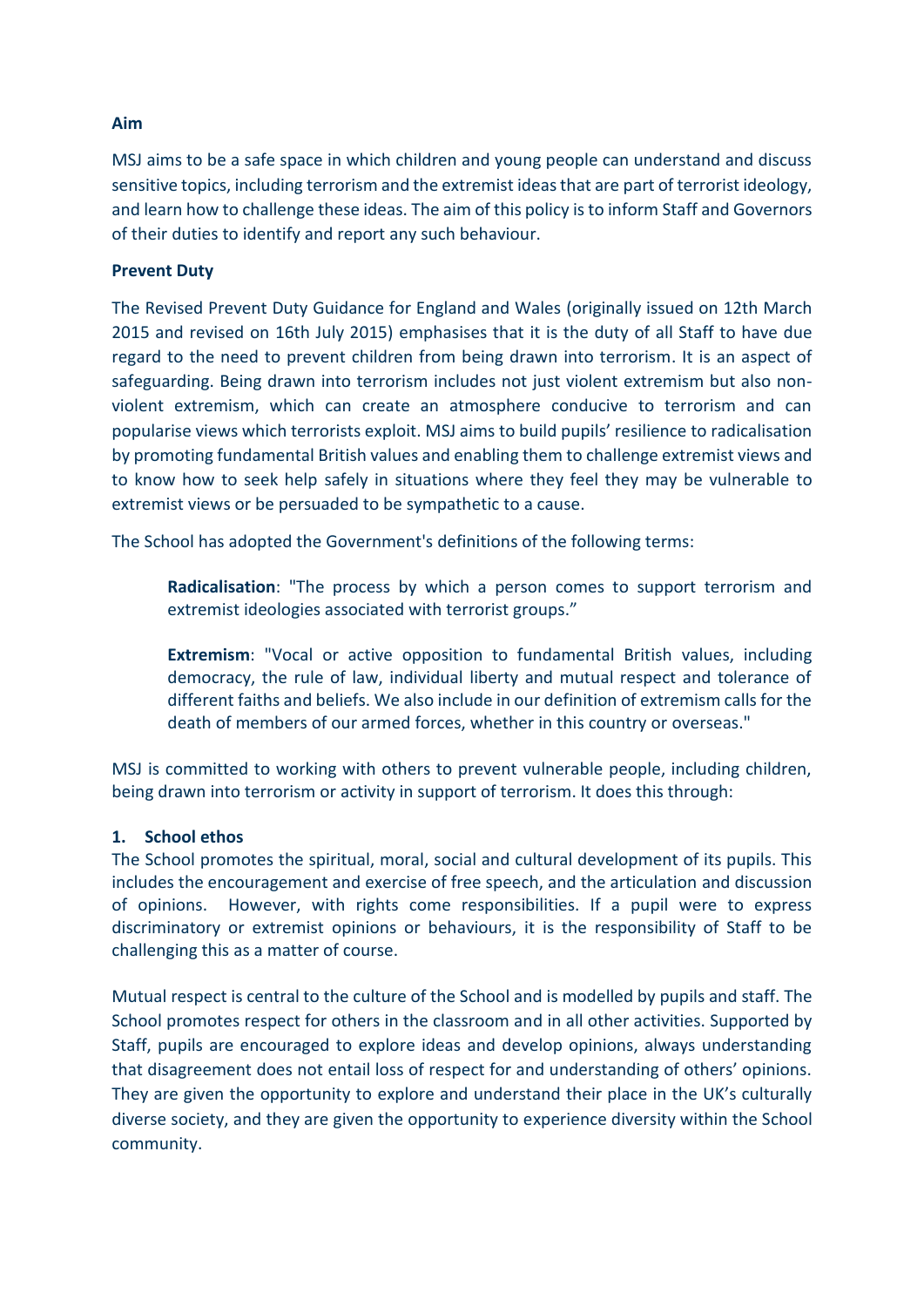## **Aim**

MSJ aims to be a safe space in which children and young people can understand and discuss sensitive topics, including terrorism and the extremist ideas that are part of terrorist ideology, and learn how to challenge these ideas. The aim of this policy is to inform Staff and Governors of their duties to identify and report any such behaviour.

## **Prevent Duty**

The Revised Prevent Duty Guidance for England and Wales (originally issued on 12th March 2015 and revised on 16th July 2015) emphasises that it is the duty of all Staff to have due regard to the need to prevent children from being drawn into terrorism. It is an aspect of safeguarding. Being drawn into terrorism includes not just violent extremism but also nonviolent extremism, which can create an atmosphere conducive to terrorism and can popularise views which terrorists exploit. MSJ aims to build pupils' resilience to radicalisation by promoting fundamental British values and enabling them to challenge extremist views and to know how to seek help safely in situations where they feel they may be vulnerable to extremist views or be persuaded to be sympathetic to a cause.

The School has adopted the Government's definitions of the following terms:

**Radicalisation**: "The process by which a person comes to support terrorism and extremist ideologies associated with terrorist groups."

**Extremism**: "Vocal or active opposition to fundamental British values, including democracy, the rule of law, individual liberty and mutual respect and tolerance of different faiths and beliefs. We also include in our definition of extremism calls for the death of members of our armed forces, whether in this country or overseas."

MSJ is committed to working with others to prevent vulnerable people, including children, being drawn into terrorism or activity in support of terrorism. It does this through:

### **1. School ethos**

The School promotes the spiritual, moral, social and cultural development of its pupils. This includes the encouragement and exercise of free speech, and the articulation and discussion of opinions. However, with rights come responsibilities. If a pupil were to express discriminatory or extremist opinions or behaviours, it is the responsibility of Staff to be challenging this as a matter of course.

Mutual respect is central to the culture of the School and is modelled by pupils and staff. The School promotes respect for others in the classroom and in all other activities. Supported by Staff, pupils are encouraged to explore ideas and develop opinions, always understanding that disagreement does not entail loss of respect for and understanding of others' opinions. They are given the opportunity to explore and understand their place in the UK's culturally diverse society, and they are given the opportunity to experience diversity within the School community.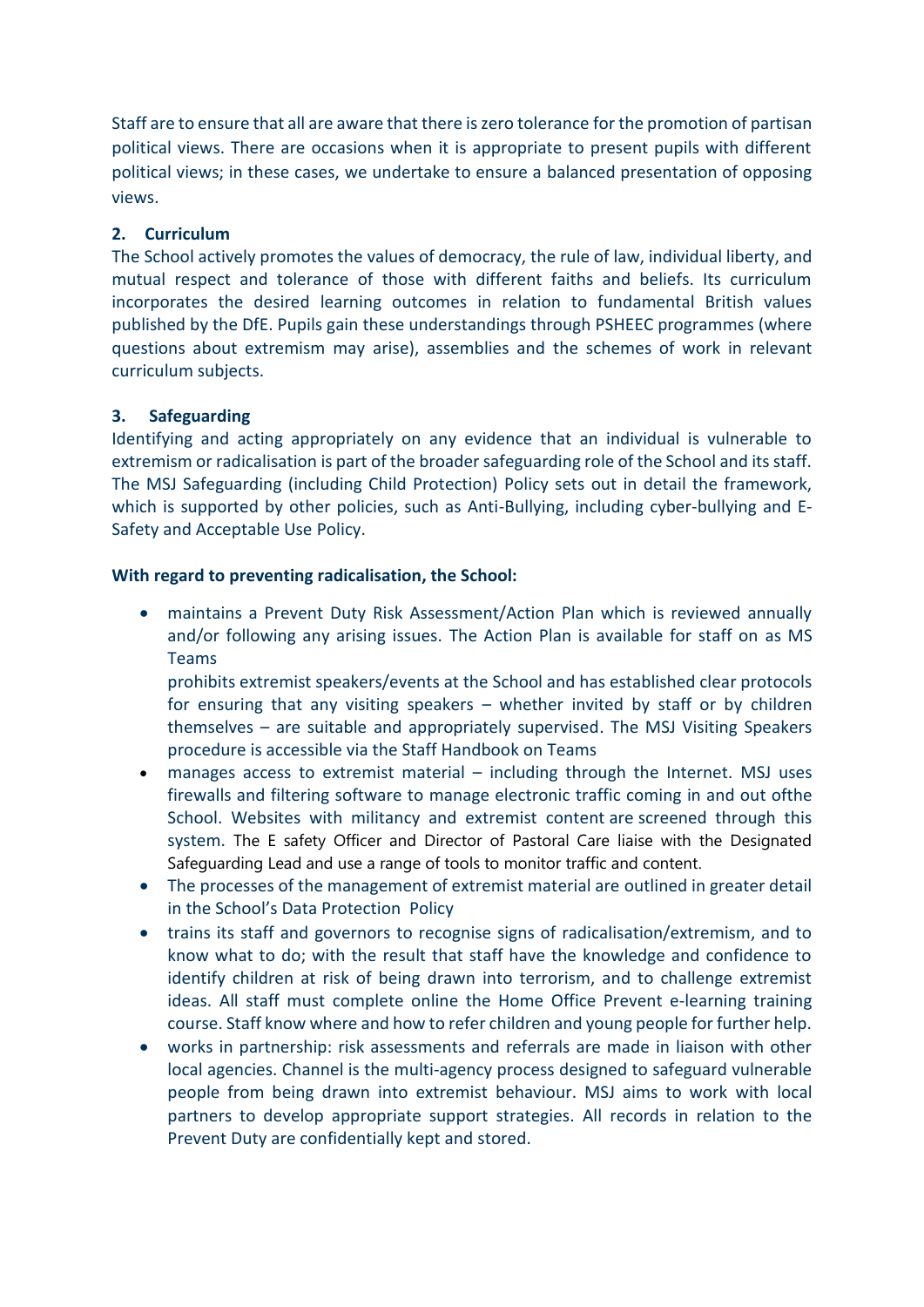Staff are to ensure that all are aware that there is zero tolerance for the promotion of partisan political views. There are occasions when it is appropriate to present pupils with different political views; in these cases, we undertake to ensure a balanced presentation of opposing views.

# **2. Curriculum**

The School actively promotes the values of democracy, the rule of law, individual liberty, and mutual respect and tolerance of those with different faiths and beliefs. Its curriculum incorporates the desired learning outcomes in relation to fundamental British values published by the DfE. Pupils gain these understandings through PSHEEC programmes (where questions about extremism may arise), assemblies and the schemes of work in relevant curriculum subjects.

# **3. Safeguarding**

Identifying and acting appropriately on any evidence that an individual is vulnerable to extremism or radicalisation is part of the broader safeguarding role of the School and its staff. The MSJ Safeguarding (including Child Protection) Policy sets out in detail the framework, which is supported by other policies, such as Anti-Bullying, including cyber-bullying and E-Safety and Acceptable Use Policy.

# **With regard to preventing radicalisation, the School:**

• maintains a Prevent Duty Risk Assessment/Action Plan which is reviewed annually and/or following any arising issues. The Action Plan is available for staff on as MS Teams

prohibits extremist speakers/events at the School and has established clear protocols for ensuring that any visiting speakers – whether invited by staff or by children themselves – are suitable and appropriately supervised. The MSJ Visiting Speakers procedure is accessible via the Staff Handbook on Teams

- manages access to extremist material including through the Internet. MSJ uses firewalls and filtering software to manage electronic traffic coming in and out ofthe School. Websites with militancy and extremist content are screened through this system. The E safety Officer and Director of Pastoral Care liaise with the Designated Safeguarding Lead and use a range of tools to monitor traffic and content.
- The processes of the management of extremist material are outlined in greater detail in the School's Data Protection Policy
- trains its staff and governors to recognise signs of radicalisation/extremism, and to know what to do; with the result that staff have the knowledge and confidence to identify children at risk of being drawn into terrorism, and to challenge extremist ideas. All staff must complete online the Home Office Prevent e-learning training course. Staff know where and how to refer children and young people for further help.
- works in partnership: risk assessments and referrals are made in liaison with other local agencies. Channel is the multi-agency process designed to safeguard vulnerable people from being drawn into extremist behaviour. MSJ aims to work with local partners to develop appropriate support strategies. All records in relation to the Prevent Duty are confidentially kept and stored.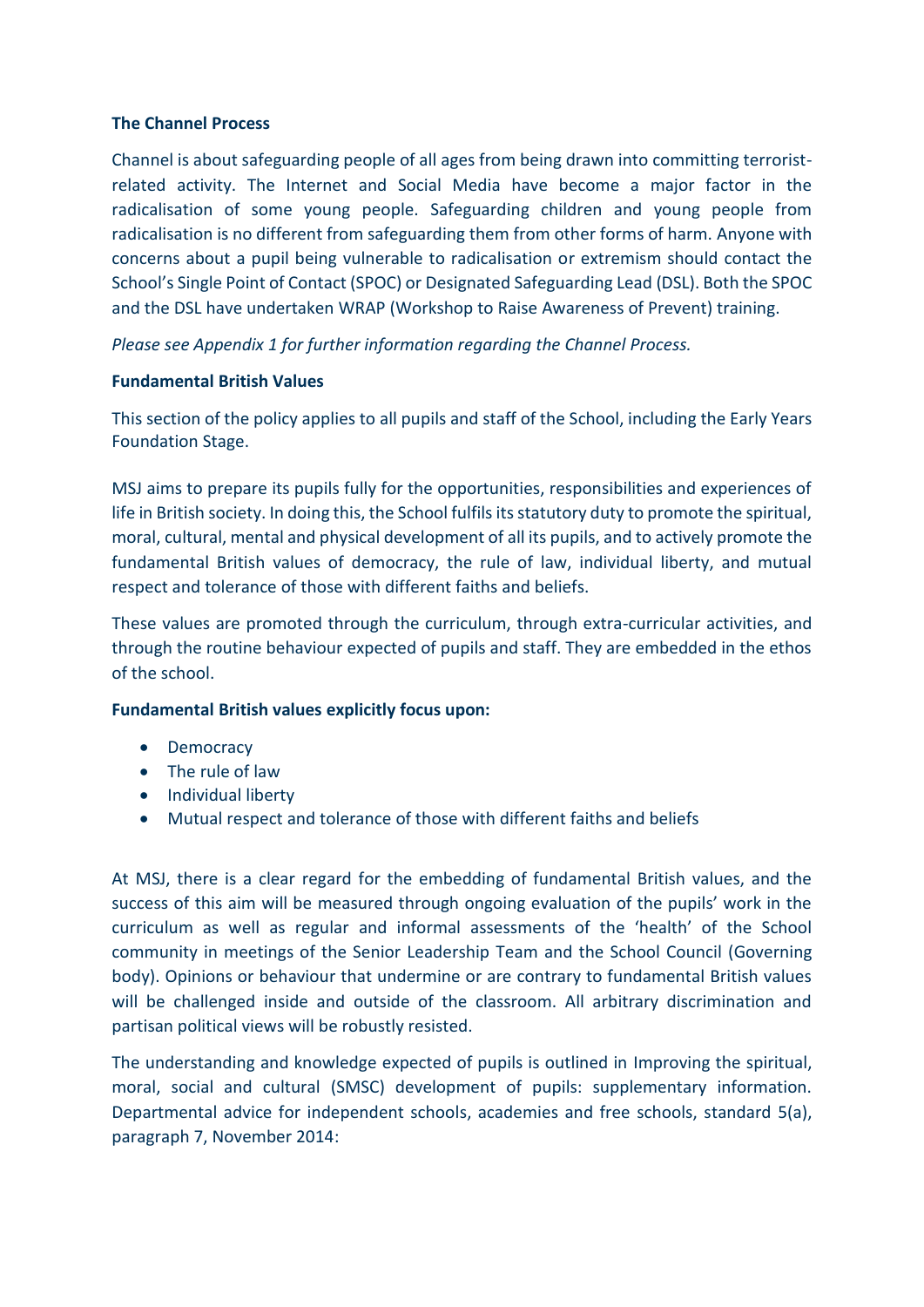## **The Channel Process**

Channel is about safeguarding people of all ages from being drawn into committing terroristrelated activity. The Internet and Social Media have become a major factor in the radicalisation of some young people. Safeguarding children and young people from radicalisation is no different from safeguarding them from other forms of harm. Anyone with concerns about a pupil being vulnerable to radicalisation or extremism should contact the School's Single Point of Contact (SPOC) or Designated Safeguarding Lead (DSL). Both the SPOC and the DSL have undertaken WRAP (Workshop to Raise Awareness of Prevent) training.

*Please see Appendix 1 for further information regarding the Channel Process.*

# **Fundamental British Values**

This section of the policy applies to all pupils and staff of the School, including the Early Years Foundation Stage.

MSJ aims to prepare its pupils fully for the opportunities, responsibilities and experiences of life in British society. In doing this, the School fulfils its statutory duty to promote the spiritual, moral, cultural, mental and physical development of all its pupils, and to actively promote the fundamental British values of democracy, the rule of law, individual liberty, and mutual respect and tolerance of those with different faiths and beliefs.

These values are promoted through the curriculum, through extra-curricular activities, and through the routine behaviour expected of pupils and staff. They are embedded in the ethos of the school.

### **Fundamental British values explicitly focus upon:**

- Democracy
- The rule of law
- Individual liberty
- Mutual respect and tolerance of those with different faiths and beliefs

At MSJ, there is a clear regard for the embedding of fundamental British values, and the success of this aim will be measured through ongoing evaluation of the pupils' work in the curriculum as well as regular and informal assessments of the 'health' of the School community in meetings of the Senior Leadership Team and the School Council (Governing body). Opinions or behaviour that undermine or are contrary to fundamental British values will be challenged inside and outside of the classroom. All arbitrary discrimination and partisan political views will be robustly resisted.

The understanding and knowledge expected of pupils is outlined in Improving the spiritual, moral, social and cultural (SMSC) development of pupils: supplementary information. Departmental advice for independent schools, academies and free schools, standard 5(a), paragraph 7, November 2014: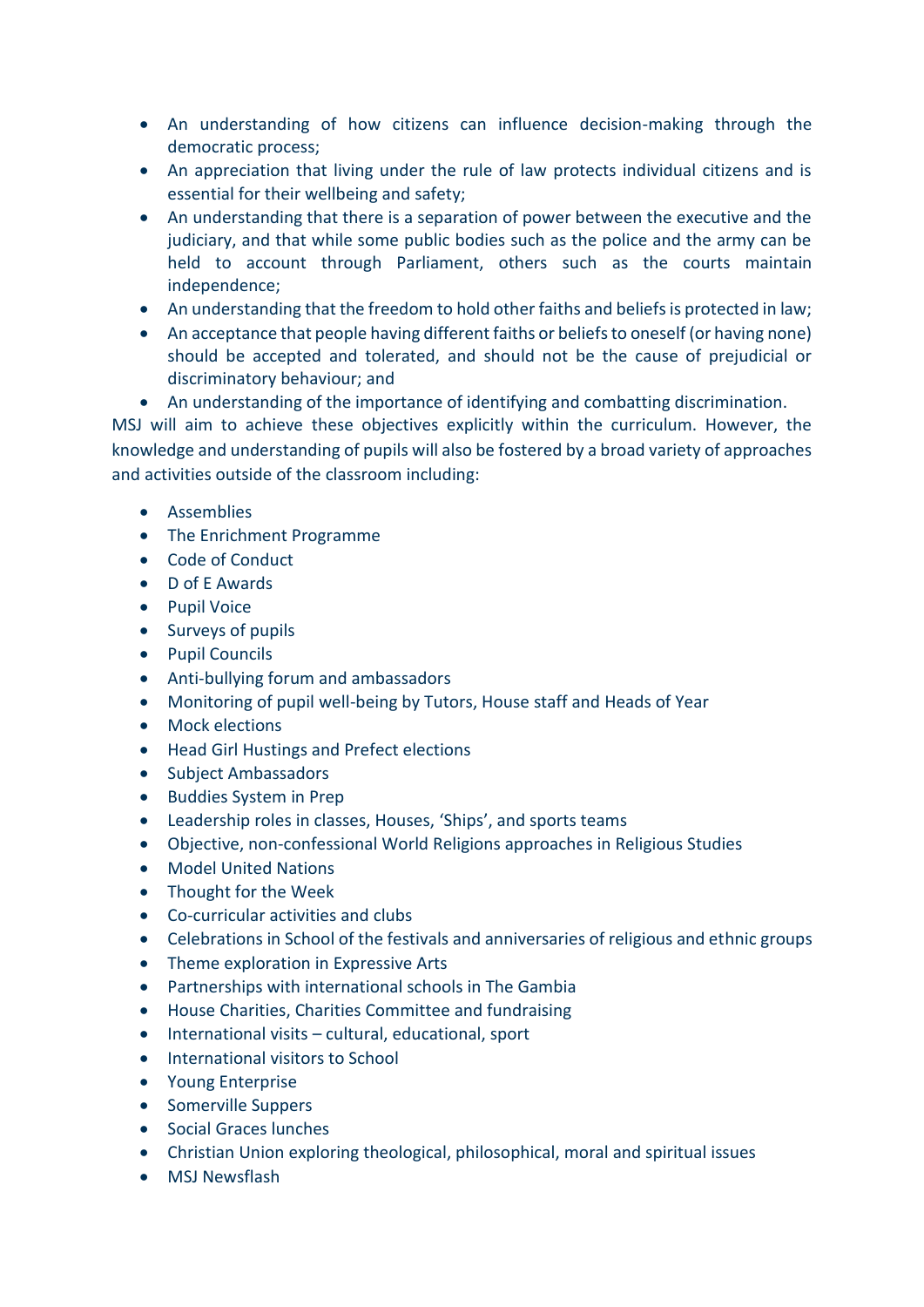- An understanding of how citizens can influence decision-making through the democratic process;
- An appreciation that living under the rule of law protects individual citizens and is essential for their wellbeing and safety;
- An understanding that there is a separation of power between the executive and the judiciary, and that while some public bodies such as the police and the army can be held to account through Parliament, others such as the courts maintain independence;
- An understanding that the freedom to hold other faiths and beliefs is protected in law;
- An acceptance that people having different faiths or beliefs to oneself (or having none) should be accepted and tolerated, and should not be the cause of prejudicial or discriminatory behaviour; and
- An understanding of the importance of identifying and combatting discrimination.

MSJ will aim to achieve these objectives explicitly within the curriculum. However, the knowledge and understanding of pupils will also be fostered by a broad variety of approaches and activities outside of the classroom including:

- Assemblies
- The Enrichment Programme
- Code of Conduct
- D of E Awards
- Pupil Voice
- Surveys of pupils
- Pupil Councils
- Anti-bullying forum and ambassadors
- Monitoring of pupil well-being by Tutors, House staff and Heads of Year
- Mock elections
- Head Girl Hustings and Prefect elections
- Subject Ambassadors
- Buddies System in Prep
- Leadership roles in classes, Houses, 'Ships', and sports teams
- Objective, non-confessional World Religions approaches in Religious Studies
- Model United Nations
- Thought for the Week
- Co-curricular activities and clubs
- Celebrations in School of the festivals and anniversaries of religious and ethnic groups
- Theme exploration in Expressive Arts
- Partnerships with international schools in The Gambia
- House Charities, Charities Committee and fundraising
- International visits cultural, educational, sport
- International visitors to School
- Young Enterprise
- Somerville Suppers
- Social Graces lunches
- Christian Union exploring theological, philosophical, moral and spiritual issues
- MSJ Newsflash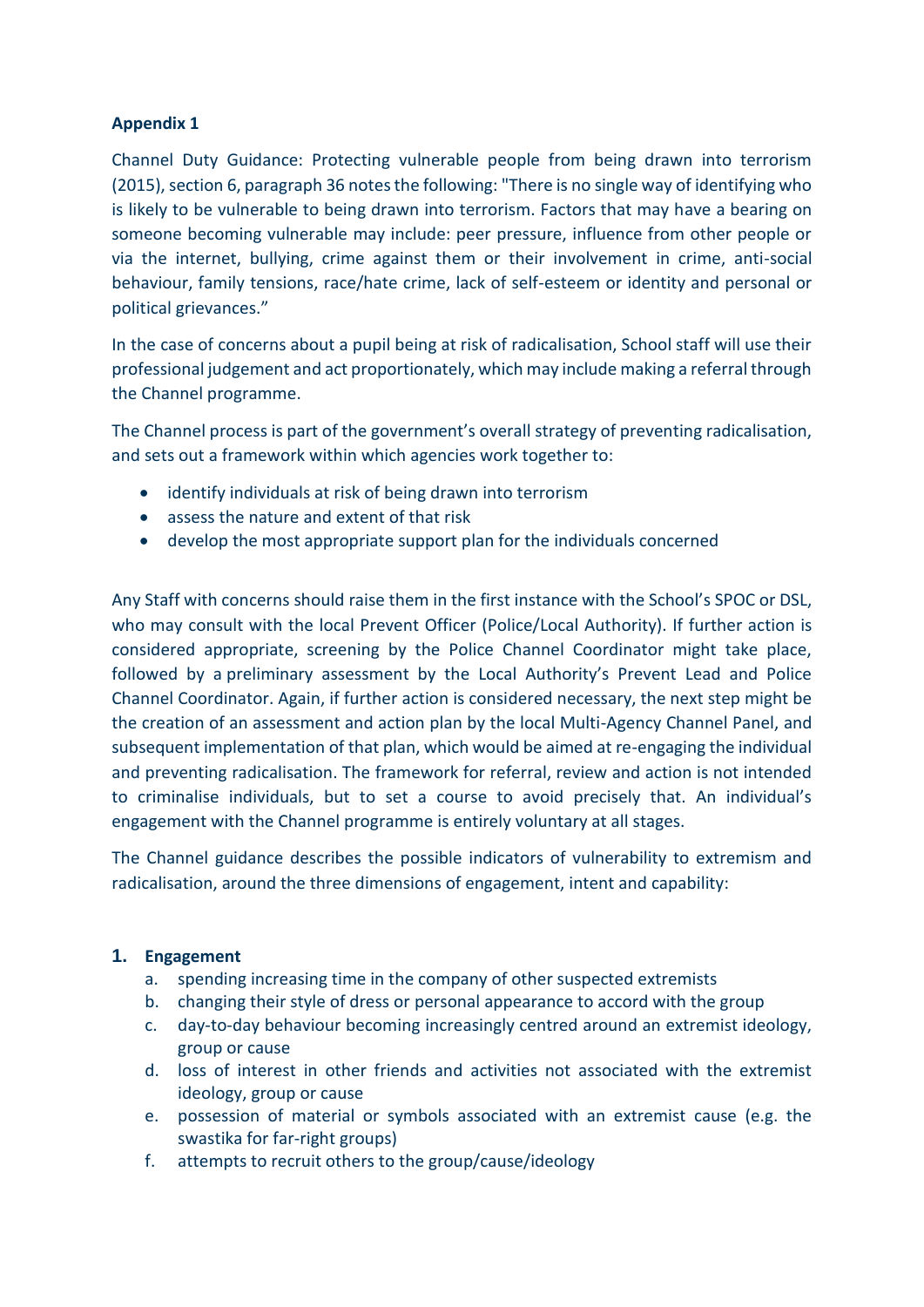# **Appendix 1**

Channel Duty Guidance: Protecting vulnerable people from being drawn into terrorism (2015), section 6, paragraph 36 notes the following: "There is no single way of identifying who is likely to be vulnerable to being drawn into terrorism. Factors that may have a bearing on someone becoming vulnerable may include: peer pressure, influence from other people or via the internet, bullying, crime against them or their involvement in crime, anti-social behaviour, family tensions, race/hate crime, lack of self-esteem or identity and personal or political grievances."

In the case of concerns about a pupil being at risk of radicalisation, School staff will use their professional judgement and act proportionately, which may include making a referral through the Channel programme.

The Channel process is part of the government's overall strategy of preventing radicalisation, and sets out a framework within which agencies work together to:

- identify individuals at risk of being drawn into terrorism
- assess the nature and extent of that risk
- develop the most appropriate support plan for the individuals concerned

Any Staff with concerns should raise them in the first instance with the School's SPOC or DSL, who may consult with the local Prevent Officer (Police/Local Authority). If further action is considered appropriate, screening by the Police Channel Coordinator might take place, followed by a preliminary assessment by the Local Authority's Prevent Lead and Police Channel Coordinator. Again, if further action is considered necessary, the next step might be the creation of an assessment and action plan by the local Multi-Agency Channel Panel, and subsequent implementation of that plan, which would be aimed at re-engaging the individual and preventing radicalisation. The framework for referral, review and action is not intended to criminalise individuals, but to set a course to avoid precisely that. An individual's engagement with the Channel programme is entirely voluntary at all stages.

The Channel guidance describes the possible indicators of vulnerability to extremism and radicalisation, around the three dimensions of engagement, intent and capability:

# **1. Engagement**

- a. spending increasing time in the company of other suspected extremists
- b. changing their style of dress or personal appearance to accord with the group
- c. day-to-day behaviour becoming increasingly centred around an extremist ideology, group or cause
- d. loss of interest in other friends and activities not associated with the extremist ideology, group or cause
- e. possession of material or symbols associated with an extremist cause (e.g. the swastika for far-right groups)
- f. attempts to recruit others to the group/cause/ideology